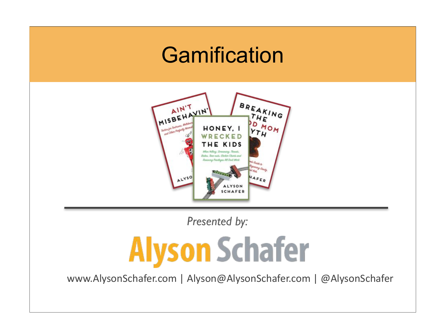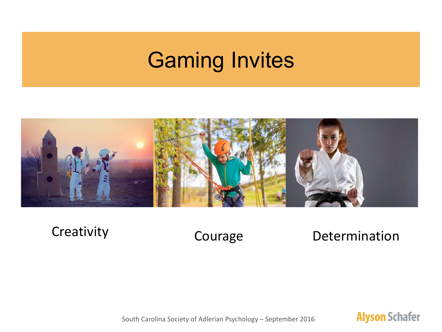## Gaming Invites



Creativity Courage

#### Determination

South Carolina Society of Adlerian Psychology - September 2016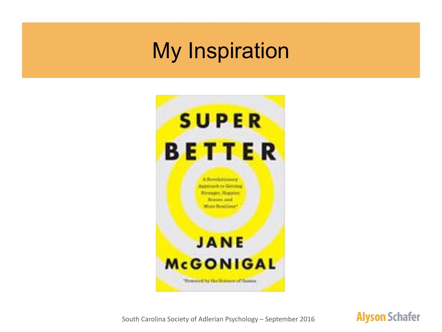### My Inspiration



South Carolina Society of Adlerian Psychology - September 2016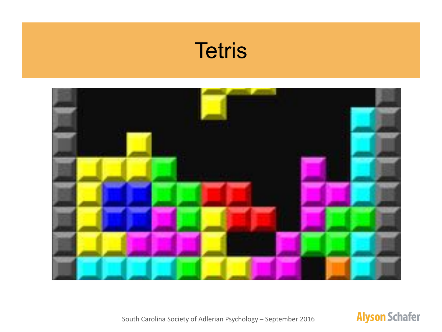### **Tetris**



South Carolina Society of Adlerian Psychology - September 2016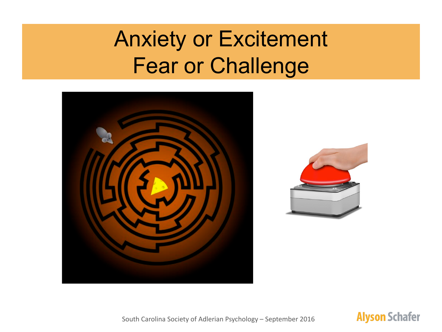# Anxiety or Excitement Fear or Challenge



South Carolina Society of Adlerian Psychology - September 2016

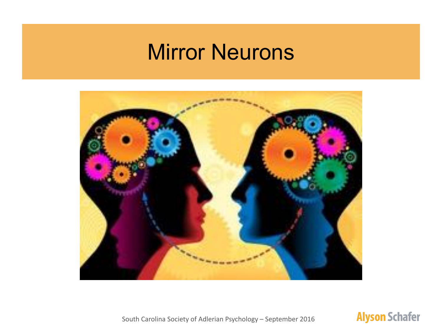#### Mirror Neurons



South Carolina Society of Adlerian Psychology - September 2016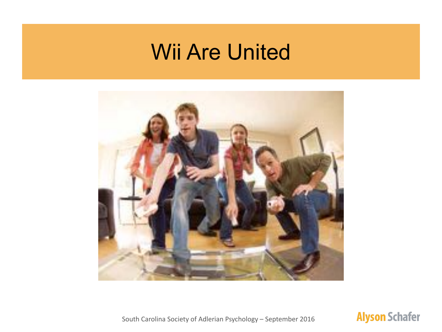### Wii Are United



#### **Alyson Schafer**

South Carolina Society of Adlerian Psychology - September 2016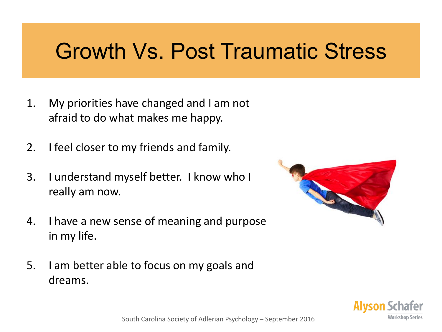### Growth Vs. Post Traumatic Stress

- 1. My priorities have changed and I am not afraid to do what makes me happy.
- 2. I feel closer to my friends and family.
- 3. I understand myself better. I know who I really am now.
- 4. I have a new sense of meaning and purpose in my life.
- 5. I am better able to focus on my goals and dreams.



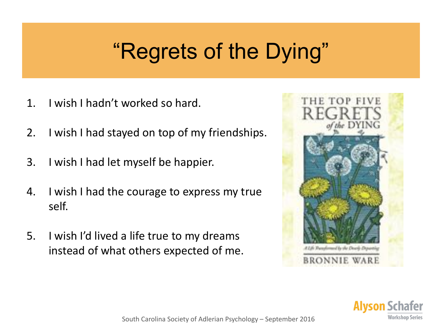# "Regrets of the Dying"

- 1. I wish I hadn't worked so hard.
- 2. I wish I had stayed on top of my friendships.
- 3. I wish I had let myself be happier.
- 4. I wish I had the courage to express my true self.
- 5. I wish I'd lived a life true to my dreams instead of what others expected of me.



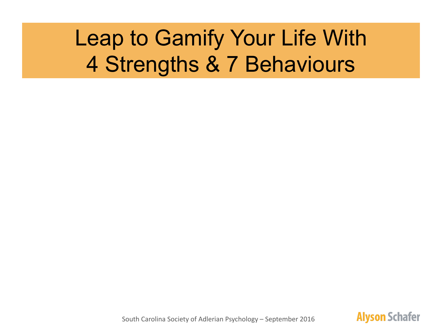# Leap to Gamify Your Life With 4 Strengths & 7 Behaviours

South Carolina Society of Adlerian Psychology - September 2016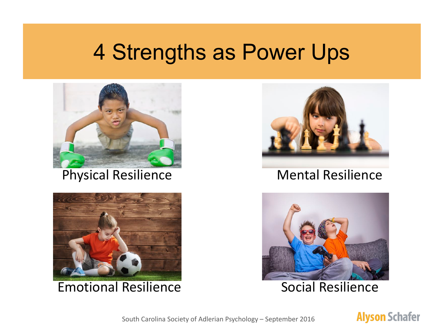#### 4 Strengths as Power Ups







#### Physical Resilience Mental Resilience



#### South Carolina Society of Adlerian Psychology – September 2016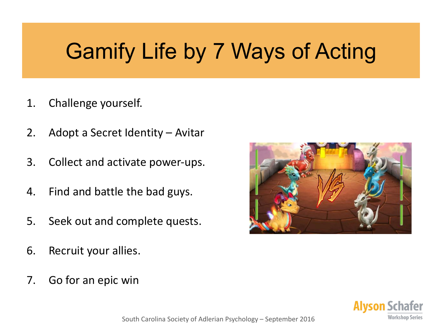## Gamify Life by 7 Ways of Acting

- 1. Challenge yourself.
- 2. Adopt a Secret Identity Avitar
- 3. Collect and activate power-ups.
- 4. Find and battle the bad guys.
- 5. Seek out and complete quests.
- 6. Recruit your allies.
- 7. Go for an epic win